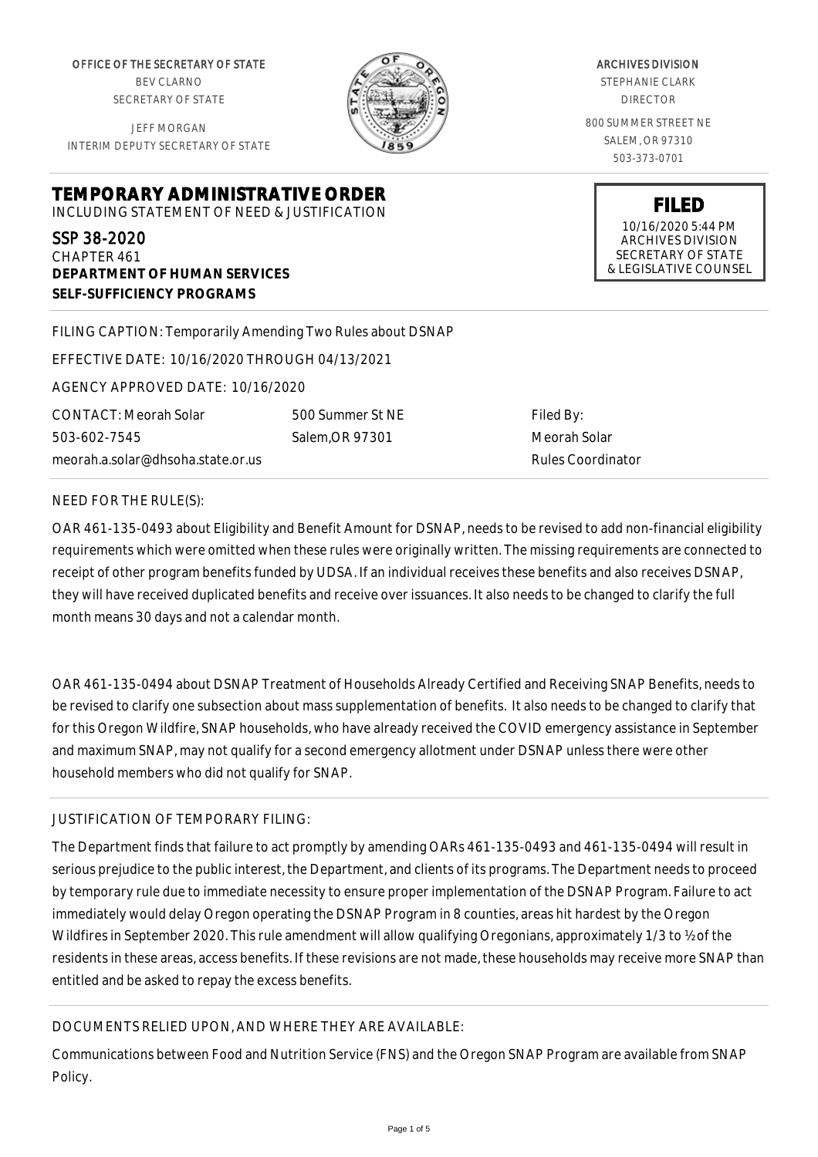OFFICE OF THE SECRETARY OF STATE BEV CLARNO SECRETARY OF STATE

JEFF MORGAN INTERIM DEPUTY SECRETARY OF STATE

**DEPARTMENT OF HUMAN SERVICES**

**SELF-SUFFICIENCY PROGRAMS**



ARCHIVES DIVISION

STEPHANIE CLARK DIRECTOR

800 SUMMER STREET NE SALEM, OR 97310 503-373-0701

> **FILED** 10/16/2020 5:44 PM ARCHIVES DIVISION SECRETARY OF STATE & LEGISLATIVE COUNSEL

FILING CAPTION: Temporarily Amending Two Rules about DSNAP

EFFECTIVE DATE: 10/16/2020 THROUGH 04/13/2021

**TEMPORARY ADMINISTRATIVE ORDER** INCLUDING STATEMENT OF NEED & JUSTIFICATION

AGENCY APPROVED DATE: 10/16/2020

CONTACT: Meorah Solar 503-602-7545 meorah.a.solar@dhsoha.state.or.us

500 Summer St NE Salem,OR 97301

Filed By: Meorah Solar Rules Coordinator

#### NEED FOR THE RULE(S):

SSP 38-2020 CHAPTER 461

OAR 461-135-0493 about Eligibility and Benefit Amount for DSNAP, needs to be revised to add non-financial eligibility requirements which were omitted when these rules were originally written. The missing requirements are connected to receipt of other program benefits funded by UDSA. If an individual receives these benefits and also receives DSNAP, they will have received duplicated benefits and receive over issuances. It also needs to be changed to clarify the full month means 30 days and not a calendar month.

OAR 461-135-0494 about DSNAP Treatment of Households Already Certified and Receiving SNAP Benefits, needs to be revised to clarify one subsection about mass supplementation of benefits. It also needs to be changed to clarify that for this Oregon Wildfire, SNAP households, who have already received the COVID emergency assistance in September and maximum SNAP, may not qualify for a second emergency allotment under DSNAP unless there were other household members who did not qualify for SNAP.

## JUSTIFICATION OF TEMPORARY FILING:

The Department finds that failure to act promptly by amending OARs 461-135-0493 and 461-135-0494 will result in serious prejudice to the public interest, the Department, and clients of its programs. The Department needs to proceed by temporary rule due to immediate necessity to ensure proper implementation of the DSNAP Program. Failure to act immediately would delay Oregon operating the DSNAP Program in 8 counties, areas hit hardest by the Oregon Wildfires in September 2020. This rule amendment will allow qualifying Oregonians, approximately 1/3 to ½ of the residents in these areas, access benefits. If these revisions are not made, these households may receive more SNAP than entitled and be asked to repay the excess benefits.

# DOCUMENTS RELIED UPON, AND WHERE THEY ARE AVAILABLE:

Communications between Food and Nutrition Service (FNS) and the Oregon SNAP Program are available from SNAP Policy.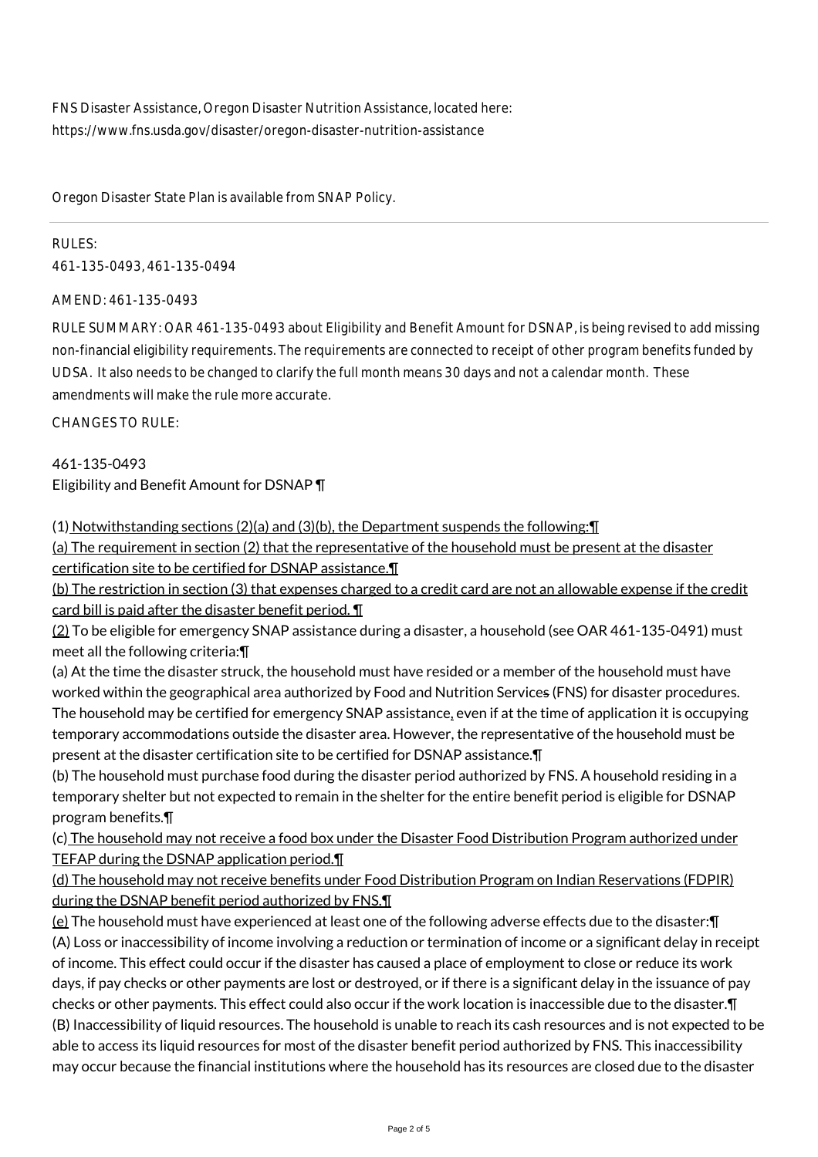FNS Disaster Assistance, Oregon Disaster Nutrition Assistance, located here: https://www.fns.usda.gov/disaster/oregon-disaster-nutrition-assistance

Oregon Disaster State Plan is available from SNAP Policy.

### RULES:

461-135-0493, 461-135-0494

#### AMEND: 461-135-0493

RULE SUMMARY: OAR 461-135-0493 about Eligibility and Benefit Amount for DSNAP, is being revised to add missing non-financial eligibility requirements. The requirements are connected to receipt of other program benefits funded by UDSA. It also needs to be changed to clarify the full month means 30 days and not a calendar month. These amendments will make the rule more accurate.

#### CHANGES TO RULE:

461-135-0493 Eligibility and Benefit Amount for DSNAP ¶

(1) Notwithstanding sections (2)(a) and (3)(b), the Department suspends the following:¶

(a) The requirement in section (2) that the representative of the household must be present at the disaster certification site to be certified for DSNAP assistance.¶

(b) The restriction in section (3) that expenses charged to a credit card are not an allowable expense if the credit card bill is paid after the disaster benefit period. ¶

(2) To be eligible for emergency SNAP assistance during a disaster, a household (see OAR 461-135-0491) must meet all the following criteria:¶

(a) At the time the disaster struck, the household must have resided or a member of the household must have worked within the geographical area authorized by Food and Nutrition Services (FNS) for disaster procedures. The household may be certified for emergency SNAP assistance, even if at the time of application it is occupying temporary accommodations outside the disaster area. However, the representative of the household must be present at the disaster certification site to be certified for DSNAP assistance.¶

(b) The household must purchase food during the disaster period authorized by FNS. A household residing in a temporary shelter but not expected to remain in the shelter for the entire benefit period is eligible for DSNAP program benefits.¶

(c) The household may not receive a food box under the Disaster Food Distribution Program authorized under TEFAP during the DSNAP application period.¶

(d) The household may not receive benefits under Food Distribution Program on Indian Reservations (FDPIR) during the DSNAP benefit period authorized by FNS.¶

(e) The household must have experienced at least one of the following adverse effects due to the disaster:¶ (A) Loss or inaccessibility of income involving a reduction or termination of income or a significant delay in receipt of income. This effect could occur if the disaster has caused a place of employment to close or reduce its work days, if pay checks or other payments are lost or destroyed, or if there is a significant delay in the issuance of pay checks or other payments. This effect could also occur if the work location is inaccessible due to the disaster.¶ (B) Inaccessibility of liquid resources. The household is unable to reach its cash resources and is not expected to be able to access its liquid resources for most of the disaster benefit period authorized by FNS. This inaccessibility may occur because the financial institutions where the household has its resources are closed due to the disaster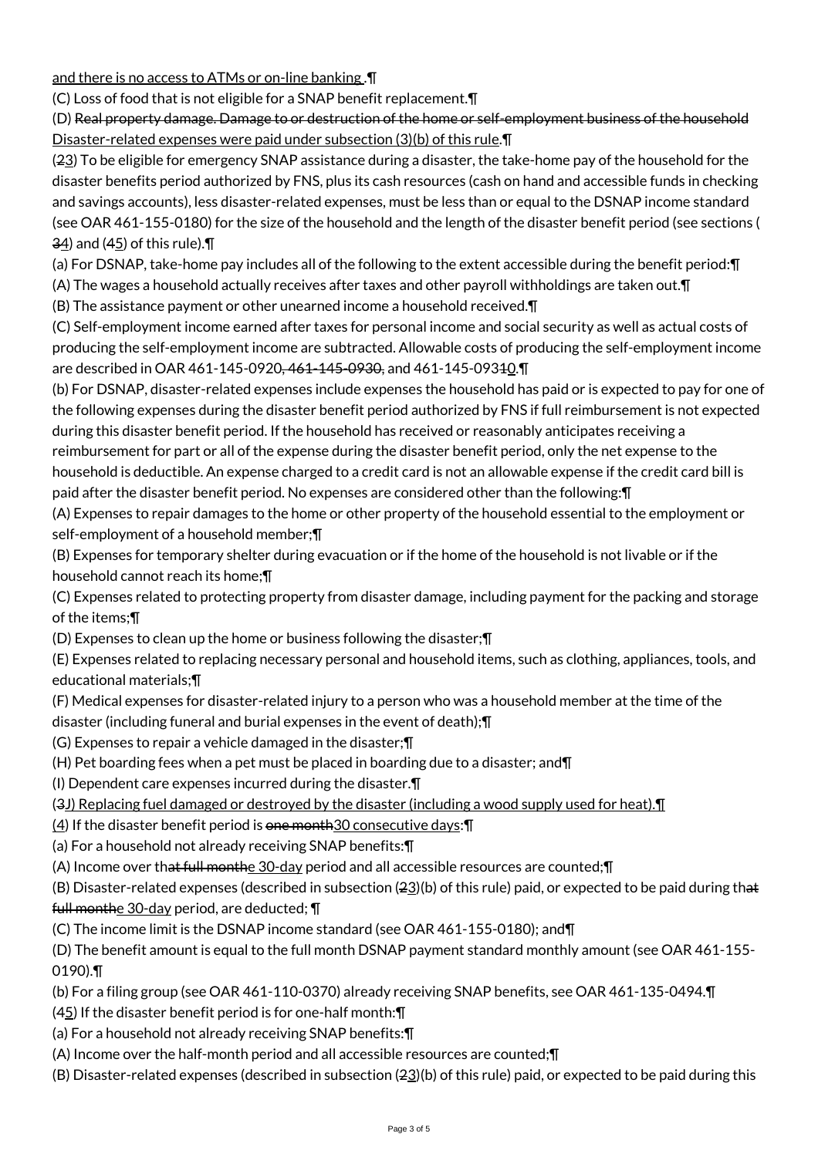and there is no access to ATMs or on-line banking .¶

(C) Loss of food that is not eligible for a SNAP benefit replacement.¶

(D) Real property damage. Damage to or destruction of the home or self-employment business of the household Disaster-related expenses were paid under subsection (3)(b) of this rule.¶

(23) To be eligible for emergency SNAP assistance during a disaster, the take-home pay of the household for the disaster benefits period authorized by FNS, plus its cash resources (cash on hand and accessible funds in checking and savings accounts), less disaster-related expenses, must be less than or equal to the DSNAP income standard (see OAR 461-155-0180) for the size of the household and the length of the disaster benefit period (see sections (  $\frac{34}{2}$  and (45) of this rule).

(a) For DSNAP, take-home pay includes all of the following to the extent accessible during the benefit period:¶

(A) The wages a household actually receives after taxes and other payroll withholdings are taken out.¶

(B) The assistance payment or other unearned income a household received.¶

(C) Self-employment income earned after taxes for personal income and social security as well as actual costs of producing the self-employment income are subtracted. Allowable costs of producing the self-employment income are described in OAR 461-145-0920<del>, 461-145-0930,</del> and 461-145-09340.

(b) For DSNAP, disaster-related expenses include expenses the household has paid or is expected to pay for one of the following expenses during the disaster benefit period authorized by FNS if full reimbursement is not expected during this disaster benefit period. If the household has received or reasonably anticipates receiving a reimbursement for part or all of the expense during the disaster benefit period, only the net expense to the household is deductible. An expense charged to a credit card is not an allowable expense if the credit card bill is paid after the disaster benefit period. No expenses are considered other than the following:¶

(A) Expenses to repair damages to the home or other property of the household essential to the employment or self-employment of a household member;¶

(B) Expenses for temporary shelter during evacuation or if the home of the household is not livable or if the household cannot reach its home;¶

(C) Expenses related to protecting property from disaster damage, including payment for the packing and storage of the items;¶

(D) Expenses to clean up the home or business following the disaster;¶

(E) Expenses related to replacing necessary personal and household items, such as clothing, appliances, tools, and educational materials;¶

- (F) Medical expenses for disaster-related injury to a person who was a household member at the time of the
- disaster (including funeral and burial expenses in the event of death);¶

(G) Expenses to repair a vehicle damaged in the disaster;¶

- (H) Pet boarding fees when a pet must be placed in boarding due to a disaster; and¶
- (I) Dependent care expenses incurred during the disaster.¶
- (3J) Replacing fuel damaged or destroyed by the disaster (including a wood supply used for heat).¶
- $(4)$  If the disaster benefit period is one month 30 consecutive days:  $\P$
- (a) For a household not already receiving SNAP benefits:¶
- (A) Income over that full monthe 30-day period and all accessible resources are counted;¶

(B) Disaster-related expenses (described in subsection  $(23)(b)$  of this rule) paid, or expected to be paid during that full monthe 30-day period, are deducted; ¶

(C) The income limit is the DSNAP income standard (see OAR 461-155-0180); and¶

(D) The benefit amount is equal to the full month DSNAP payment standard monthly amount (see OAR 461-155- 0190).¶

- (b) For a filing group (see OAR 461-110-0370) already receiving SNAP benefits, see OAR 461-135-0494.¶
- $(45)$  If the disaster benefit period is for one-half month: $\P$
- (a) For a household not already receiving SNAP benefits:¶
- (A) Income over the half-month period and all accessible resources are counted;¶
- (B) Disaster-related expenses (described in subsection  $(23)(b)$  of this rule) paid, or expected to be paid during this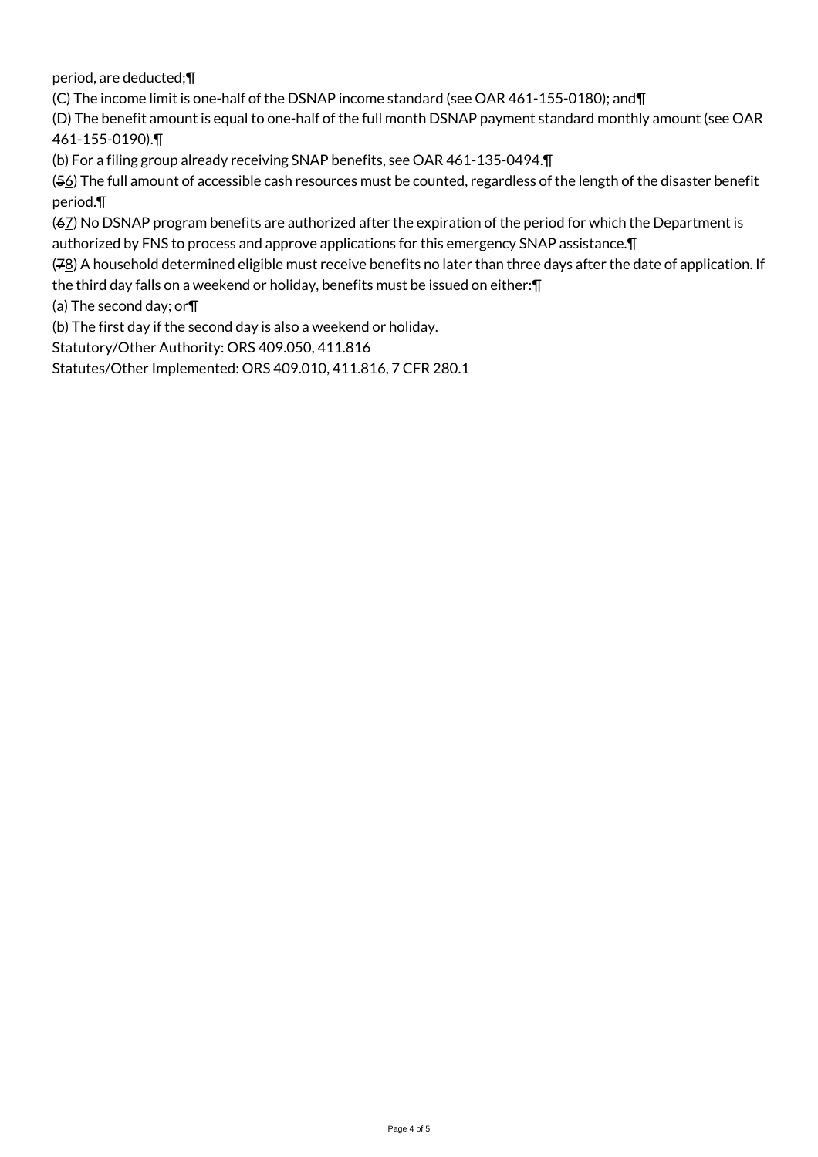period, are deducted;¶

(C) The income limit is one-half of the DSNAP income standard (see OAR 461-155-0180); and¶

(D) The benefit amount is equal to one-half of the full month DSNAP payment standard monthly amount (see OAR 461-155-0190).¶

(b) For a filing group already receiving SNAP benefits, see OAR 461-135-0494.¶

(56) The full amount of accessible cash resources must be counted, regardless of the length of the disaster benefit period.¶

(67) No DSNAP program benefits are authorized after the expiration of the period for which the Department is authorized by FNS to process and approve applications for this emergency SNAP assistance.¶

(78) A household determined eligible must receive benefits no later than three days after the date of application. If the third day falls on a weekend or holiday, benefits must be issued on either:¶

(a) The second day; or¶

(b) The first day if the second day is also a weekend or holiday.

Statutory/Other Authority: ORS 409.050, 411.816

Statutes/Other Implemented: ORS 409.010, 411.816, 7 CFR 280.1